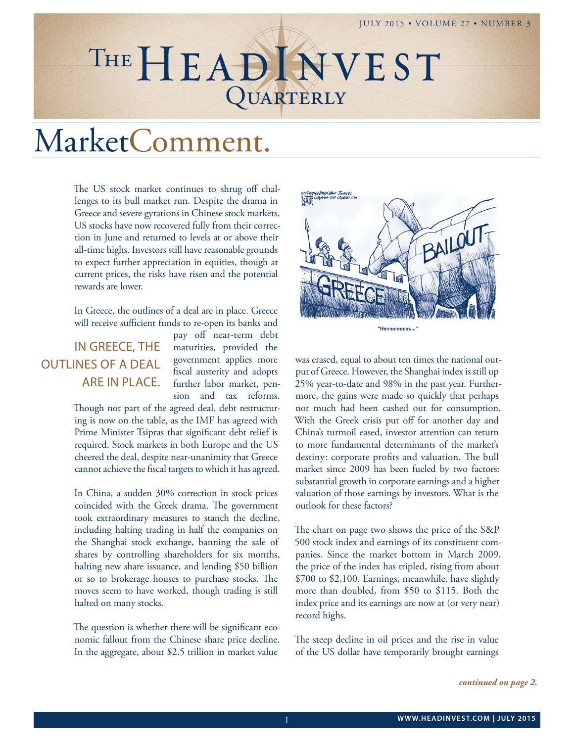## JULY 2015 • VOLUME 27 • NUMBER 3

# QUARTERLY THE HEADINVEST

# MarketComment.

The US stock market continues to shrug off challenges to its bull market run. Despite the drama in Greece and severe gyrations in Chinese stock markets, US stocks have now recovered fully from their correction in June and returned to levels at or above their all-time highs. Investors still have reasonable grounds to expect further appreciation in equities, though at current prices, the risks have risen and the potential rewards are lower.

In Greece, the outlines of a deal are in place. Greece will receive sufficient funds to re-open its banks and

## IN GREECE, THE OUTLINES OF A DEAL ARE IN PLACE.

pay off near-term debt maturities, provided the government applies more fiscal austerity and adopts further labor market, pension and tax reforms.

Though not part of the agreed deal, debt restructuring is now on the table, as the IMF has agreed with Prime Minister Tsipras that significant debt relief is required. Stock markets in both Europe and the US cheered the deal, despite near-unanimity that Greece cannot achieve the fiscal targets to which it has agreed.

In China, a sudden 30% correction in stock prices coincided with the Greek drama. The government took extraordinary measures to stanch the decline, including halting trading in half the companies on the Shanghai stock exchange, banning the sale of shares by controlling shareholders for six months, halting new share issuance, and lending \$50 billion or so to brokerage houses to purchase stocks. The moves seem to have worked, though trading is still halted on many stocks.

The question is whether there will be significant economic fallout from the Chinese share price decline. In the aggregate, about \$2.5 trillion in market value



was erased, equal to about ten times the national output of Greece. However, the Shanghai index is still up 25% year-to-date and 98% in the past year. Furthermore, the gains were made so quickly that perhaps not much had been cashed out for consumption. With the Greek crisis put off for another day and China's turmoil eased, investor attention can return to more fundamental determinants of the market's destiny: corporate profits and valuation. The bull market since 2009 has been fueled by two factors: substantial growth in corporate earnings and a higher valuation of those earnings by investors. What is the outlook for these factors?

The chart on page two shows the price of the S&P 500 stock index and earnings of its constituent companies. Since the market bottom in March 2009, the price of the index has tripled, rising from about \$700 to \$2,100. Earnings, meanwhile, have slightly more than doubled, from \$50 to \$115. Both the index price and its earnings are now at (or very near) record highs.

The steep decline in oil prices and the rise in value of the US dollar have temporarily brought earnings

*continued on page 2.*